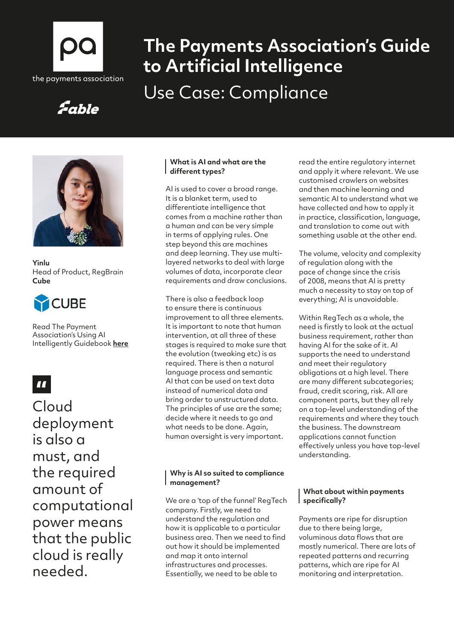

# **The Payments Association's Guide to Artificial Intelligence** Use Case: Compliance

# Fable



**Yinlu**  Head of Product, RegBrain **Cube**



Read The Payment Association's Using AI Intelligently Guidebook **[here](https://thepaymentsassociation.org/whitepaper/using-ai-intelligently-smart-ways-to-use-artificial-intelligence-in-payments/)**

# $\blacksquare$

Cloud deployment is also a must, and the required amount of computational power means that the public cloud is really needed.

### **What is AI and what are the different types?**

AI is used to cover a broad range. It is a blanket term, used to differentiate intelligence that comes from a machine rather than a human and can be very simple in terms of applying rules. One step beyond this are machines and deep learning. They use multilayered networks to deal with large volumes of data, incorporate clear requirements and draw conclusions.

There is also a feedback loop to ensure there is continuous improvement to all three elements. It is important to note that human intervention, at all three of these stages is required to make sure that the evolution (tweaking etc) is as required. There is then a natural language process and semantic AI that can be used on text data instead of numerical data and bring order to unstructured data. The principles of use are the same; decide where it needs to go and what needs to be done. Again, human oversight is very important.

### **Why is AI so suited to compliance management?**

We are a 'top of the funnel' RegTech company. Firstly, we need to understand the regulation and how it is applicable to a particular business area. Then we need to find out how it should be implemented and map it onto internal infrastructures and processes. Essentially, we need to be able to

read the entire regulatory internet and apply it where relevant. We use customised crawlers on websites and then machine learning and semantic AI to understand what we have collected and how to apply it in practice, classification, language, and translation to come out with something usable at the other end.

The volume, velocity and complexity of regulation along with the pace of change since the crisis of 2008, means that AI is pretty much a necessity to stay on top of everything; AI is unavoidable.

Within RegTech as a whole, the need is firstly to look at the actual business requirement, rather than having AI for the sake of it. AI supports the need to understand and meet their regulatory obligations at a high level. There are many different subcategories; fraud, credit scoring, risk. All are component parts, but they all rely on a top-level understanding of the requirements and where they touch the business. The downstream applications cannot function effectively unless you have top-level understanding.

### **What about within payments specifically?**

Payments are ripe for disruption due to there being large, voluminous data flows that are mostly numerical. There are lots of repeated patterns and recurring patterns, which are ripe for AI monitoring and interpretation.